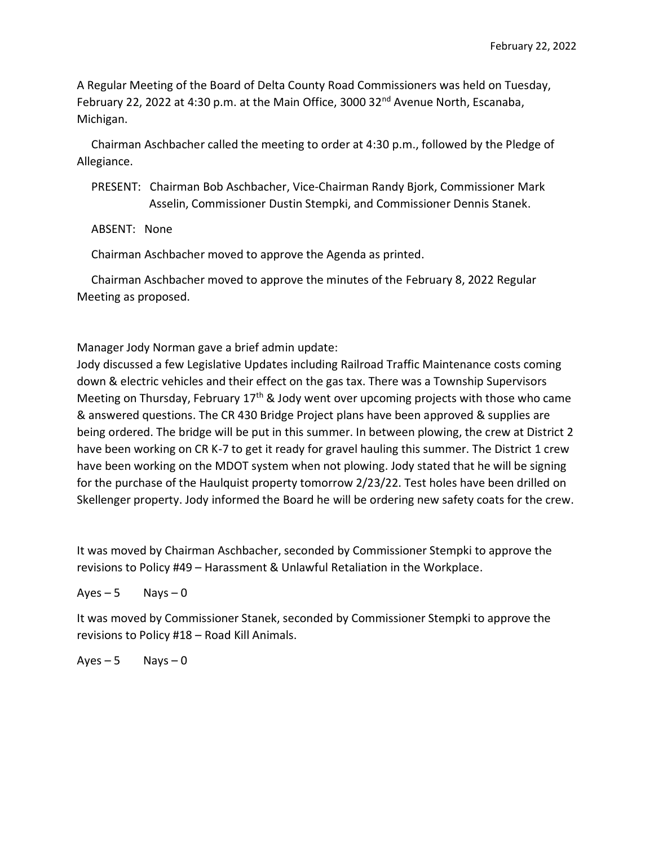A Regular Meeting of the Board of Delta County Road Commissioners was held on Tuesday, February 22, 2022 at 4:30 p.m. at the Main Office, 3000 32<sup>nd</sup> Avenue North, Escanaba, Michigan.

 Chairman Aschbacher called the meeting to order at 4:30 p.m., followed by the Pledge of Allegiance.

 PRESENT: Chairman Bob Aschbacher, Vice-Chairman Randy Bjork, Commissioner Mark Asselin, Commissioner Dustin Stempki, and Commissioner Dennis Stanek.

ABSENT: None

Chairman Aschbacher moved to approve the Agenda as printed.

 Chairman Aschbacher moved to approve the minutes of the February 8, 2022 Regular Meeting as proposed.

Manager Jody Norman gave a brief admin update:

Jody discussed a few Legislative Updates including Railroad Traffic Maintenance costs coming down & electric vehicles and their effect on the gas tax. There was a Township Supervisors Meeting on Thursday, February  $17<sup>th</sup>$  & Jody went over upcoming projects with those who came & answered questions. The CR 430 Bridge Project plans have been approved & supplies are being ordered. The bridge will be put in this summer. In between plowing, the crew at District 2 have been working on CR K-7 to get it ready for gravel hauling this summer. The District 1 crew have been working on the MDOT system when not plowing. Jody stated that he will be signing for the purchase of the Haulquist property tomorrow 2/23/22. Test holes have been drilled on Skellenger property. Jody informed the Board he will be ordering new safety coats for the crew.

It was moved by Chairman Aschbacher, seconded by Commissioner Stempki to approve the revisions to Policy #49 – Harassment & Unlawful Retaliation in the Workplace.

 $Ayes - 5$  Nays  $-0$ 

It was moved by Commissioner Stanek, seconded by Commissioner Stempki to approve the revisions to Policy #18 – Road Kill Animals.

 $Ayes - 5$  Nays  $-0$